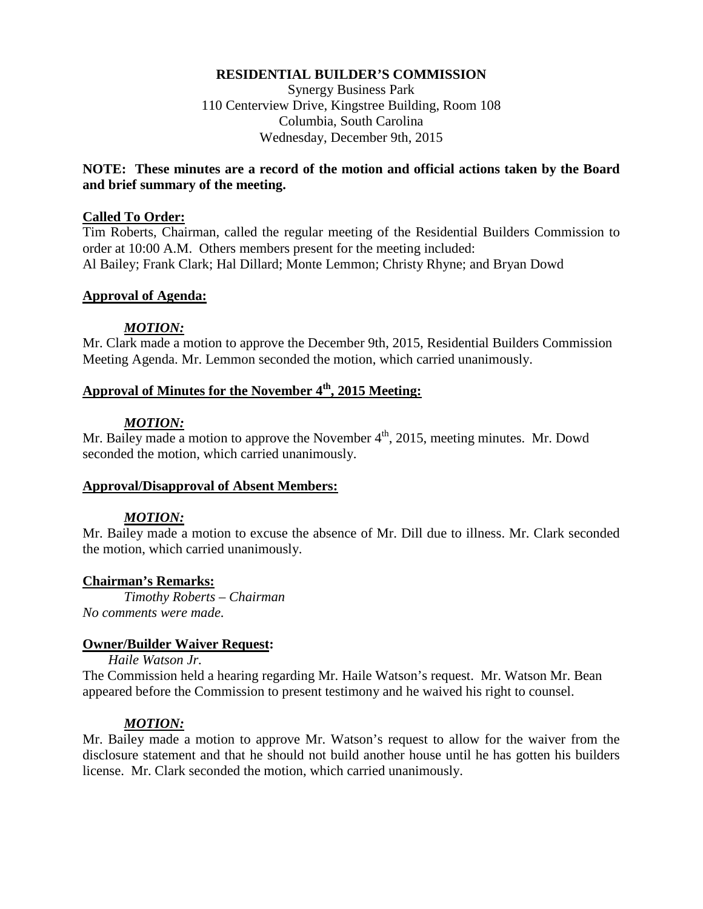## **RESIDENTIAL BUILDER'S COMMISSION**

Synergy Business Park 110 Centerview Drive, Kingstree Building, Room 108 Columbia, South Carolina Wednesday, December 9th, 2015

## **NOTE: These minutes are a record of the motion and official actions taken by the Board and brief summary of the meeting.**

### **Called To Order:**

Tim Roberts, Chairman, called the regular meeting of the Residential Builders Commission to order at 10:00 A.M. Others members present for the meeting included: Al Bailey; Frank Clark; Hal Dillard; Monte Lemmon; Christy Rhyne; and Bryan Dowd

## **Approval of Agenda:**

### *MOTION:*

Mr. Clark made a motion to approve the December 9th, 2015, Residential Builders Commission Meeting Agenda. Mr. Lemmon seconded the motion, which carried unanimously.

# **Approval of Minutes for the November 4th, 2015 Meeting:**

## *MOTION:*

Mr. Bailey made a motion to approve the November  $4<sup>th</sup>$ , 2015, meeting minutes. Mr. Dowd seconded the motion, which carried unanimously.

## **Approval/Disapproval of Absent Members:**

## *MOTION:*

Mr. Bailey made a motion to excuse the absence of Mr. Dill due to illness. Mr. Clark seconded the motion, which carried unanimously.

### **Chairman's Remarks:**

*Timothy Roberts – Chairman No comments were made.* 

### **Owner/Builder Waiver Request:**

*Haile Watson Jr.* 

The Commission held a hearing regarding Mr. Haile Watson's request. Mr. Watson Mr. Bean appeared before the Commission to present testimony and he waived his right to counsel.

## *MOTION:*

Mr. Bailey made a motion to approve Mr. Watson's request to allow for the waiver from the disclosure statement and that he should not build another house until he has gotten his builders license. Mr. Clark seconded the motion, which carried unanimously.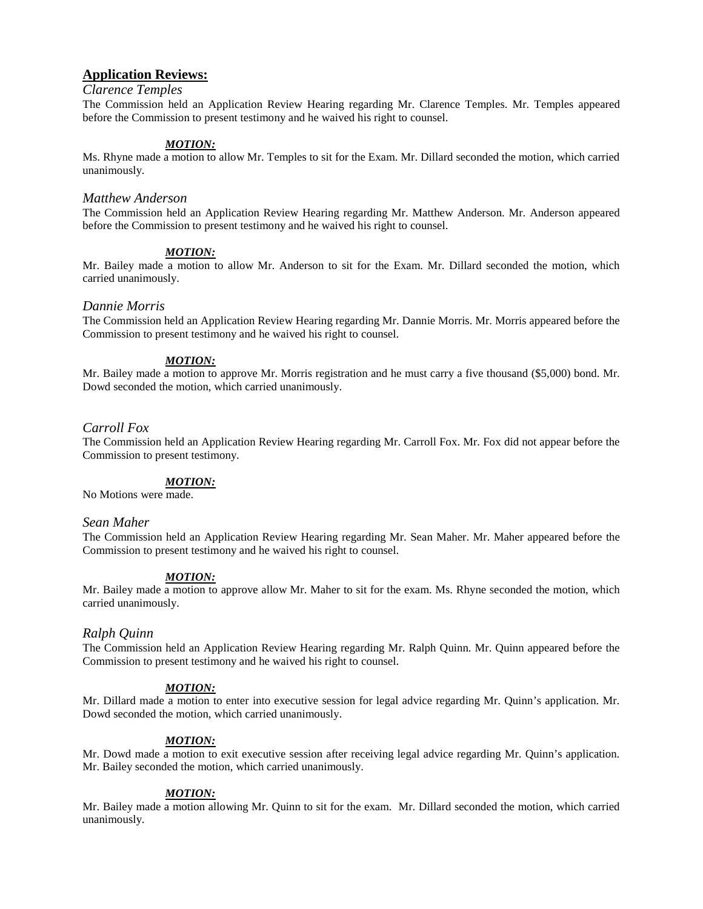### **Application Reviews:**

#### *Clarence Temples*

The Commission held an Application Review Hearing regarding Mr. Clarence Temples. Mr. Temples appeared before the Commission to present testimony and he waived his right to counsel.

#### *MOTION:*

Ms. Rhyne made a motion to allow Mr. Temples to sit for the Exam. Mr. Dillard seconded the motion, which carried unanimously.

#### *Matthew Anderson*

The Commission held an Application Review Hearing regarding Mr. Matthew Anderson. Mr. Anderson appeared before the Commission to present testimony and he waived his right to counsel.

#### *MOTION:*

Mr. Bailey made a motion to allow Mr. Anderson to sit for the Exam. Mr. Dillard seconded the motion, which carried unanimously.

#### *Dannie Morris*

The Commission held an Application Review Hearing regarding Mr. Dannie Morris. Mr. Morris appeared before the Commission to present testimony and he waived his right to counsel.

#### *MOTION:*

Mr. Bailey made a motion to approve Mr. Morris registration and he must carry a five thousand (\$5,000) bond. Mr. Dowd seconded the motion, which carried unanimously.

#### *Carroll Fox*

The Commission held an Application Review Hearing regarding Mr. Carroll Fox. Mr. Fox did not appear before the Commission to present testimony.

#### *MOTION:*

No Motions were made.

#### *Sean Maher*

The Commission held an Application Review Hearing regarding Mr. Sean Maher. Mr. Maher appeared before the Commission to present testimony and he waived his right to counsel.

#### *MOTION:*

Mr. Bailey made a motion to approve allow Mr. Maher to sit for the exam. Ms. Rhyne seconded the motion, which carried unanimously.

#### *Ralph Quinn*

The Commission held an Application Review Hearing regarding Mr. Ralph Quinn. Mr. Quinn appeared before the Commission to present testimony and he waived his right to counsel.

#### *MOTION:*

Mr. Dillard made a motion to enter into executive session for legal advice regarding Mr. Quinn's application. Mr. Dowd seconded the motion, which carried unanimously.

#### *MOTION:*

Mr. Dowd made a motion to exit executive session after receiving legal advice regarding Mr. Quinn's application. Mr. Bailey seconded the motion, which carried unanimously.

#### *MOTION:*

Mr. Bailey made a motion allowing Mr. Quinn to sit for the exam. Mr. Dillard seconded the motion, which carried unanimously.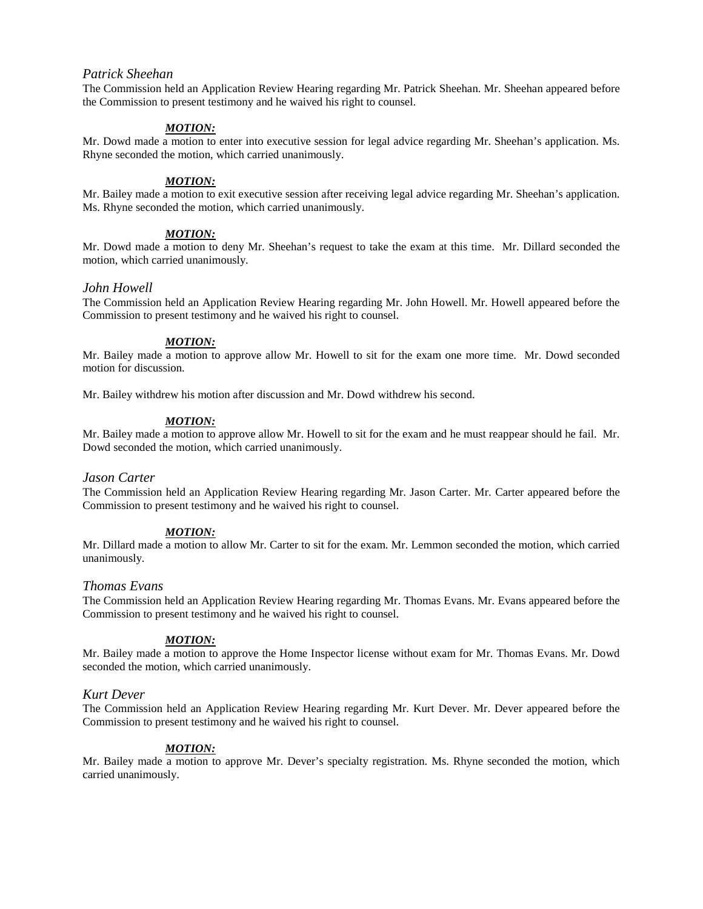#### *Patrick Sheehan*

The Commission held an Application Review Hearing regarding Mr. Patrick Sheehan. Mr. Sheehan appeared before the Commission to present testimony and he waived his right to counsel.

#### *MOTION:*

Mr. Dowd made a motion to enter into executive session for legal advice regarding Mr. Sheehan's application. Ms. Rhyne seconded the motion, which carried unanimously.

#### *MOTION:*

Mr. Bailey made a motion to exit executive session after receiving legal advice regarding Mr. Sheehan's application. Ms. Rhyne seconded the motion, which carried unanimously.

### *MOTION:*

Mr. Dowd made a motion to deny Mr. Sheehan's request to take the exam at this time. Mr. Dillard seconded the motion, which carried unanimously.

#### *John Howell*

The Commission held an Application Review Hearing regarding Mr. John Howell. Mr. Howell appeared before the Commission to present testimony and he waived his right to counsel.

#### *MOTION:*

Mr. Bailey made a motion to approve allow Mr. Howell to sit for the exam one more time. Mr. Dowd seconded motion for discussion.

Mr. Bailey withdrew his motion after discussion and Mr. Dowd withdrew his second.

#### *MOTION:*

Mr. Bailey made a motion to approve allow Mr. Howell to sit for the exam and he must reappear should he fail. Mr. Dowd seconded the motion, which carried unanimously.

#### *Jason Carter*

The Commission held an Application Review Hearing regarding Mr. Jason Carter. Mr. Carter appeared before the Commission to present testimony and he waived his right to counsel.

#### *MOTION:*

Mr. Dillard made a motion to allow Mr. Carter to sit for the exam. Mr. Lemmon seconded the motion, which carried unanimously.

#### *Thomas Evans*

The Commission held an Application Review Hearing regarding Mr. Thomas Evans. Mr. Evans appeared before the Commission to present testimony and he waived his right to counsel.

#### *MOTION:*

Mr. Bailey made a motion to approve the Home Inspector license without exam for Mr. Thomas Evans. Mr. Dowd seconded the motion, which carried unanimously.

#### *Kurt Dever*

The Commission held an Application Review Hearing regarding Mr. Kurt Dever. Mr. Dever appeared before the Commission to present testimony and he waived his right to counsel.

### *MOTION:*

Mr. Bailey made a motion to approve Mr. Dever's specialty registration. Ms. Rhyne seconded the motion, which carried unanimously.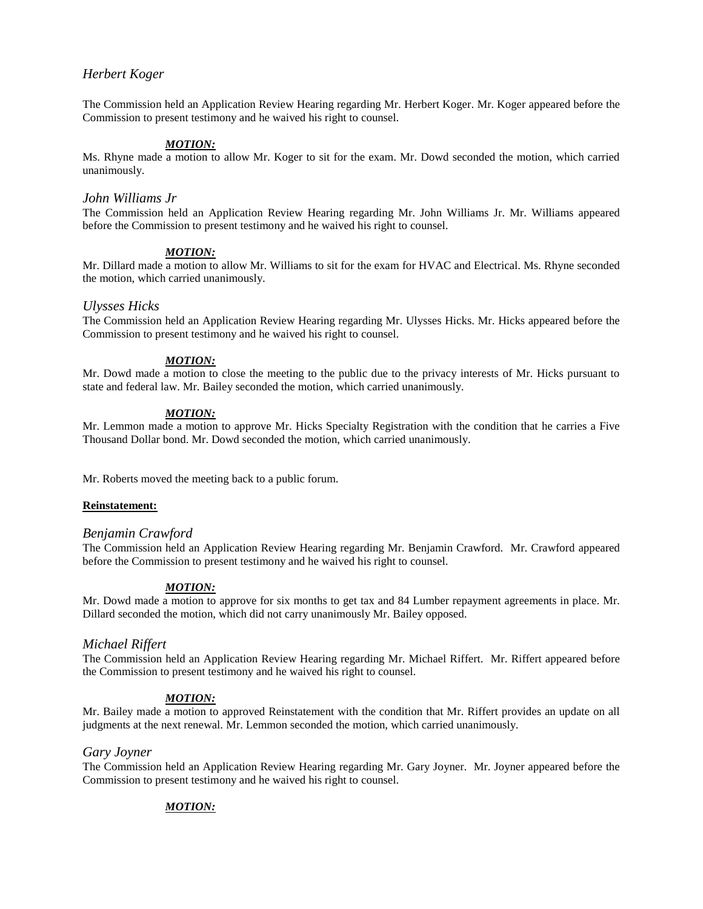### *Herbert Koger*

The Commission held an Application Review Hearing regarding Mr. Herbert Koger. Mr. Koger appeared before the Commission to present testimony and he waived his right to counsel.

#### *MOTION:*

Ms. Rhyne made a motion to allow Mr. Koger to sit for the exam. Mr. Dowd seconded the motion, which carried unanimously.

#### *John Williams Jr*

The Commission held an Application Review Hearing regarding Mr. John Williams Jr. Mr. Williams appeared before the Commission to present testimony and he waived his right to counsel.

### *MOTION:*

Mr. Dillard made a motion to allow Mr. Williams to sit for the exam for HVAC and Electrical. Ms. Rhyne seconded the motion, which carried unanimously.

#### *Ulysses Hicks*

The Commission held an Application Review Hearing regarding Mr. Ulysses Hicks. Mr. Hicks appeared before the Commission to present testimony and he waived his right to counsel.

#### *MOTION:*

Mr. Dowd made a motion to close the meeting to the public due to the privacy interests of Mr. Hicks pursuant to state and federal law. Mr. Bailey seconded the motion, which carried unanimously.

#### *MOTION:*

Mr. Lemmon made a motion to approve Mr. Hicks Specialty Registration with the condition that he carries a Five Thousand Dollar bond. Mr. Dowd seconded the motion, which carried unanimously.

Mr. Roberts moved the meeting back to a public forum.

#### **Reinstatement:**

#### *Benjamin Crawford*

The Commission held an Application Review Hearing regarding Mr. Benjamin Crawford. Mr. Crawford appeared before the Commission to present testimony and he waived his right to counsel.

#### *MOTION:*

Mr. Dowd made a motion to approve for six months to get tax and 84 Lumber repayment agreements in place. Mr. Dillard seconded the motion, which did not carry unanimously Mr. Bailey opposed.

#### *Michael Riffert*

The Commission held an Application Review Hearing regarding Mr. Michael Riffert. Mr. Riffert appeared before the Commission to present testimony and he waived his right to counsel.

#### *MOTION:*

Mr. Bailey made a motion to approved Reinstatement with the condition that Mr. Riffert provides an update on all judgments at the next renewal. Mr. Lemmon seconded the motion, which carried unanimously.

#### *Gary Joyner*

The Commission held an Application Review Hearing regarding Mr. Gary Joyner. Mr. Joyner appeared before the Commission to present testimony and he waived his right to counsel.

### *MOTION:*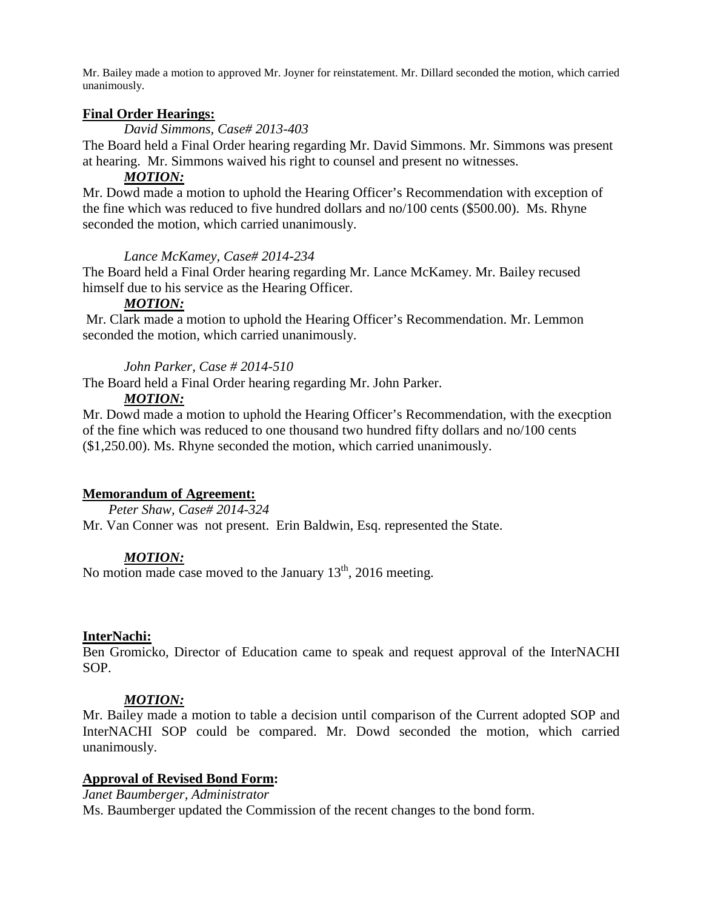Mr. Bailey made a motion to approved Mr. Joyner for reinstatement. Mr. Dillard seconded the motion, which carried unanimously.

### **Final Order Hearings:**

*David Simmons, Case# 2013-403*

The Board held a Final Order hearing regarding Mr. David Simmons. Mr. Simmons was present at hearing. Mr. Simmons waived his right to counsel and present no witnesses.

## *MOTION:*

Mr. Dowd made a motion to uphold the Hearing Officer's Recommendation with exception of the fine which was reduced to five hundred dollars and no/100 cents (\$500.00). Ms. Rhyne seconded the motion, which carried unanimously.

### *Lance McKamey, Case# 2014-234*

The Board held a Final Order hearing regarding Mr. Lance McKamey. Mr. Bailey recused himself due to his service as the Hearing Officer.

## *MOTION:*

Mr. Clark made a motion to uphold the Hearing Officer's Recommendation. Mr. Lemmon seconded the motion, which carried unanimously.

## *John Parker, Case # 2014-510*

The Board held a Final Order hearing regarding Mr. John Parker.

## *MOTION:*

Mr. Dowd made a motion to uphold the Hearing Officer's Recommendation, with the execption of the fine which was reduced to one thousand two hundred fifty dollars and no/100 cents (\$1,250.00). Ms. Rhyne seconded the motion, which carried unanimously.

## **Memorandum of Agreement:**

*Peter Shaw, Case# 2014-324*

Mr. Van Conner was not present. Erin Baldwin, Esq. represented the State.

## *MOTION:*

No motion made case moved to the January  $13<sup>th</sup>$ , 2016 meeting.

### **InterNachi:**

Ben Gromicko, Director of Education came to speak and request approval of the InterNACHI SOP.

## *MOTION:*

Mr. Bailey made a motion to table a decision until comparison of the Current adopted SOP and InterNACHI SOP could be compared. Mr. Dowd seconded the motion, which carried unanimously.

## **Approval of Revised Bond Form:**

*Janet Baumberger, Administrator*  Ms. Baumberger updated the Commission of the recent changes to the bond form.